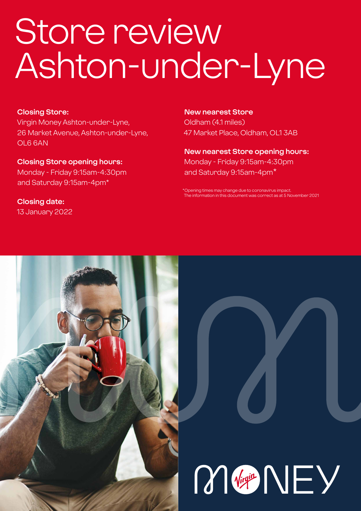# Store review Ashton-under-Lyne

#### **Closing Store:**

Virgin Money Ashton-under-Lyne, 26 Market Avenue, Ashton-under-Lyne, OL6 6AN

**Closing Store opening hours:**  Monday - Friday 9:15am-4:30pm and Saturday 9:15am-4pm\*

**Closing date:**  13 January 2022 **New nearest Store** Oldham (4.1 miles) 47 Market Place, Oldham, OL1 3AB

**New nearest Store opening hours:** Monday - Friday 9:15am-4:30pm and Saturday 9:15am-4pm\*

\*Opening times may change due to coronavirus imp mation in this document was correct as at 5 November 2021



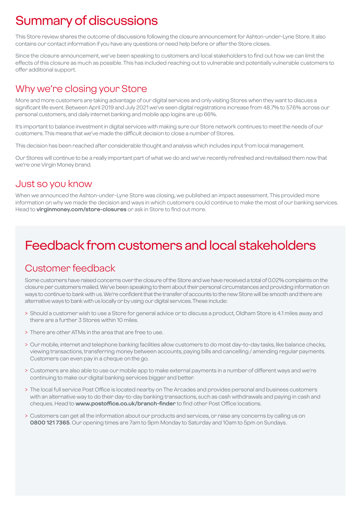# Summary of discussions

This Store review shares the outcome of discussions following the closure announcement for Ashton-under-Lyne Store. It also contains our contact information if you have any questions or need help before or after the Store closes.

Since the closure announcement, we've been speaking to customers and local stakeholders to find out how we can limit the effects of this closure as much as possible. This has included reaching out to vulnerable and potentially vulnerable customers to offer additional support.

### Why we're closing your Store

More and more customers are taking advantage of our digital services and only visiting Stores when they want to discuss a significant life event. Between April 2019 and July 2021 we've seen digital registrations increase from 48.7% to 57.6% across our personal customers, and daily internet banking and mobile app logins are up 66%.

It's important to balance investment in digital services with making sure our Store network continues to meet the needs of our customers. This means that we've made the difficult decision to close a number of Stores.

This decision has been reached after considerable thought and analysis which includes input from local management.

Our Stores will continue to be a really important part of what we do and we've recently refreshed and revitalised them now that we're one Virgin Money brand.

### Just so you know

When we announced the Ashton-under-Lyne Store was closing, we published an impact assessment. This provided more information on why we made the decision and ways in which customers could continue to make the most of our banking services. Head to **virginmoney.com/store-closures** or ask in Store to find out more.

# Feedback from customers and local stakeholders

### Customer feedback

Some customers have raised concerns over the closure of the Store and we have received a total of 0.02% complaints on the closure per customers mailed. We've been speaking to them about their personal circumstances and providing information on ways to continue to bank with us. We're confident that the transfer of accounts to the new Store will be smooth and there are alternative ways to bank with us locally or by using our digital services. These include:

- > Should a customer wish to use a Store for general advice or to discuss a product, Oldham Store is 4.1 miles away and there are a further 3 Stores within 10 miles.
- > There are other ATMs in the area that are free to use.
- > Our mobile, internet and telephone banking facilities allow customers to do most day-to-day tasks, like balance checks, viewing transactions, transferring money between accounts, paying bills and cancelling / amending regular payments. Customers can even pay in a cheque on the go.
- > Customers are also able to use our mobile app to make external payments in a number of different ways and we're continuing to make our digital banking services bigger and better.
- > The local full service Post Office is located nearby on The Arcades and provides personal and business customers with an alternative way to do their day-to-day banking transactions, such as cash withdrawals and paying in cash and cheques. Head to **www.postoffice.co.uk/branch-finder** to find other Post Office locations.
- > Customers can get all the information about our products and services, or raise any concerns by calling us on **0800 121 7365**. Our opening times are 7am to 9pm Monday to Saturday and 10am to 5pm on Sundays.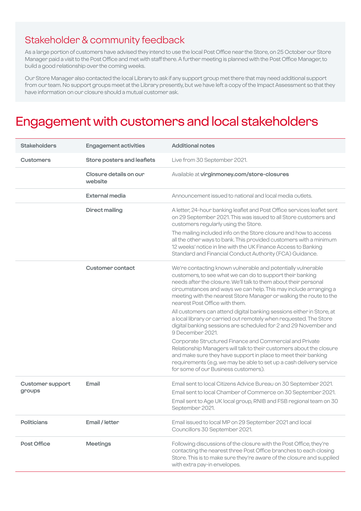### Stakeholder & community feedback

As a large portion of customers have advised they intend to use the local Post Office near the Store, on 25 October our Store Manager paid a visit to the Post Office and met with staff there. A further meeting is planned with the Post Office Manager, to build a good relationship over the coming weeks.

Our Store Manager also contacted the local Library to ask if any support group met there that may need additional support from our team. No support groups meet at the Library presently, but we have left a copy of the Impact Assessment so that they have information on our closure should a mutual customer ask.

### Engagement with customers and local stakeholders

| <b>Stakeholders</b>               | <b>Engagement activities</b>      | <b>Additional notes</b>                                                                                                                                                                                                                                                                                                                                                   |
|-----------------------------------|-----------------------------------|---------------------------------------------------------------------------------------------------------------------------------------------------------------------------------------------------------------------------------------------------------------------------------------------------------------------------------------------------------------------------|
| <b>Customers</b>                  | Store posters and leaflets        | Live from 30 September 2021.                                                                                                                                                                                                                                                                                                                                              |
|                                   | Closure details on our<br>website | Available at virginmoney.com/store-closures                                                                                                                                                                                                                                                                                                                               |
|                                   | <b>External media</b>             | Announcement issued to national and local media outlets.                                                                                                                                                                                                                                                                                                                  |
|                                   | <b>Direct mailing</b>             | A letter, 24-hour banking leaflet and Post Office services leaflet sent<br>on 29 September 2021. This was issued to all Store customers and<br>customers regularly using the Store.                                                                                                                                                                                       |
|                                   |                                   | The mailing included info on the Store closure and how to access<br>all the other ways to bank. This provided customers with a minimum<br>12 weeks' notice in line with the UK Finance Access to Banking<br>Standard and Financial Conduct Authority (FCA) Guidance.                                                                                                      |
|                                   | <b>Customer contact</b>           | We're contacting known vulnerable and potentially vulnerable<br>customers, to see what we can do to support their banking<br>needs after the closure. We'll talk to them about their personal<br>circumstances and ways we can help. This may include arranging a<br>meeting with the nearest Store Manager or walking the route to the<br>nearest Post Office with them. |
|                                   |                                   | All customers can attend digital banking sessions either in Store, at<br>a local library or carried out remotely when requested. The Store<br>digital banking sessions are scheduled for 2 and 29 November and<br>9 December 2021.                                                                                                                                        |
|                                   |                                   | Corporate Structured Finance and Commercial and Private<br>Relationship Managers will talk to their customers about the closure<br>and make sure they have support in place to meet their banking<br>requirements (e.g. we may be able to set up a cash delivery service<br>for some of our Business customers).                                                          |
| <b>Customer support</b><br>groups | Email                             | Email sent to local Citizens Advice Bureau on 30 September 2021.<br>Email sent to local Chamber of Commerce on 30 September 2021.<br>Email sent to Age UK local group, RNIB and FSB regional team on 30<br>September 2021.                                                                                                                                                |
| <b>Politicians</b>                | Email / letter                    | Email issued to local MP on 29 September 2021 and local<br>Councillors 30 September 2021.                                                                                                                                                                                                                                                                                 |
| Post Office                       | <b>Meetings</b>                   | Following discussions of the closure with the Post Office, they're<br>contacting the nearest three Post Office branches to each closing<br>Store. This is to make sure they're aware of the closure and supplied<br>with extra pay-in envelopes.                                                                                                                          |